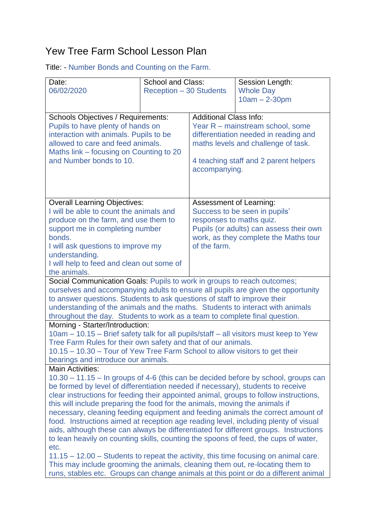## Yew Tree Farm School Lesson Plan

Title: - Number Bonds and Counting on the Farm.

| Date:<br>06/02/2020                                                                                                                                                                                                                                                                                                                                                                                                                                                                                                                                                                                                                                                                                                                                                                                                                                                                                                                                                                                        | <b>School and Class:</b><br><b>Reception - 30 Students</b> |                                                                                                                                                                                                             | Session Length:<br><b>Whole Day</b><br>$10am - 2-30pm$ |  |
|------------------------------------------------------------------------------------------------------------------------------------------------------------------------------------------------------------------------------------------------------------------------------------------------------------------------------------------------------------------------------------------------------------------------------------------------------------------------------------------------------------------------------------------------------------------------------------------------------------------------------------------------------------------------------------------------------------------------------------------------------------------------------------------------------------------------------------------------------------------------------------------------------------------------------------------------------------------------------------------------------------|------------------------------------------------------------|-------------------------------------------------------------------------------------------------------------------------------------------------------------------------------------------------------------|--------------------------------------------------------|--|
| <b>Schools Objectives / Requirements:</b><br>Pupils to have plenty of hands on<br>interaction with animals. Pupils to be<br>allowed to care and feed animals.<br>Maths link – focusing on Counting to 20<br>and Number bonds to 10.                                                                                                                                                                                                                                                                                                                                                                                                                                                                                                                                                                                                                                                                                                                                                                        |                                                            | <b>Additional Class Info:</b><br>Year R - mainstream school, some<br>differentiation needed in reading and<br>maths levels and challenge of task.<br>4 teaching staff and 2 parent helpers<br>accompanying. |                                                        |  |
| <b>Overall Learning Objectives:</b><br>I will be able to count the animals and<br>produce on the farm, and use them to<br>support me in completing number<br>bonds.<br>I will ask questions to improve my<br>understanding.<br>I will help to feed and clean out some of<br>the animals.                                                                                                                                                                                                                                                                                                                                                                                                                                                                                                                                                                                                                                                                                                                   |                                                            | Assessment of Learning:<br>Success to be seen in pupils'<br>responses to maths quiz.<br>Pupils (or adults) can assess their own<br>work, as they complete the Maths tour<br>of the farm.                    |                                                        |  |
| Social Communication Goals: Pupils to work in groups to reach outcomes;<br>ourselves and accompanying adults to ensure all pupils are given the opportunity<br>to answer questions. Students to ask questions of staff to improve their<br>understanding of the animals and the maths. Students to interact with animals<br>throughout the day. Students to work as a team to complete final question.                                                                                                                                                                                                                                                                                                                                                                                                                                                                                                                                                                                                     |                                                            |                                                                                                                                                                                                             |                                                        |  |
| Morning - Starter/Introduction:<br>10am - 10.15 - Brief safety talk for all pupils/staff - all visitors must keep to Yew<br>Tree Farm Rules for their own safety and that of our animals.<br>10.15 - 10.30 - Tour of Yew Tree Farm School to allow visitors to get their<br>bearings and introduce our animals.                                                                                                                                                                                                                                                                                                                                                                                                                                                                                                                                                                                                                                                                                            |                                                            |                                                                                                                                                                                                             |                                                        |  |
| <b>Main Activities:</b><br>10.30 – 11.15 – In groups of 4-6 (this can be decided before by school, groups can<br>be formed by level of differentiation needed if necessary), students to receive<br>clear instructions for feeding their appointed animal, groups to follow instructions,<br>this will include preparing the food for the animals, moving the animals if<br>necessary, cleaning feeding equipment and feeding animals the correct amount of<br>food. Instructions aimed at reception age reading level, including plenty of visual<br>aids, although these can always be differentiated for different groups. Instructions<br>to lean heavily on counting skills, counting the spoons of feed, the cups of water,<br>etc.<br>$11.15 - 12.00$ – Students to repeat the activity, this time focusing on animal care.<br>This may include grooming the animals, cleaning them out, re-locating them to<br>runs, stables etc. Groups can change animals at this point or do a different animal |                                                            |                                                                                                                                                                                                             |                                                        |  |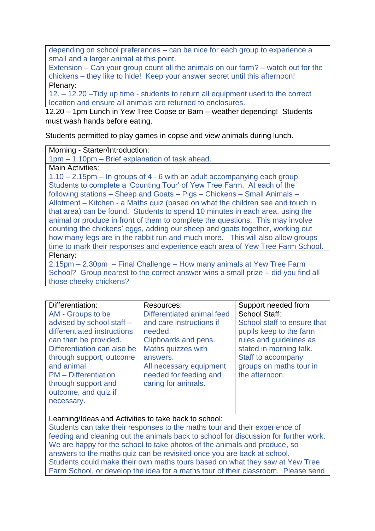depending on school preferences – can be nice for each group to experience a small and a larger animal at this point.

Extension – Can your group count all the animals on our farm? – watch out for the chickens – they like to hide! Keep your answer secret until this afternoon! Plenary:

12. – 12.20 –Tidy up time - students to return all equipment used to the correct location and ensure all animals are returned to enclosures.

12.20 – 1pm Lunch in Yew Tree Copse or Barn – weather depending! Students must wash hands before eating.

Students permitted to play games in copse and view animals during lunch.

Morning - Starter/Introduction:

1pm – 1.10pm – Brief explanation of task ahead.

Main Activities:

1.10 – 2.15pm – In groups of 4 - 6 with an adult accompanying each group. Students to complete a 'Counting Tour' of Yew Tree Farm. At each of the following stations – Sheep and Goats – Pigs – Chickens – Small Animals – Allotment – Kitchen - a Maths quiz (based on what the children see and touch in that area) can be found. Students to spend 10 minutes in each area, using the animal or produce in front of them to complete the questions. This may involve counting the chickens' eggs, adding our sheep and goats together, working out how many legs are in the rabbit run and much more. This will also allow groups time to mark their responses and experience each area of Yew Tree Farm School. Plenary:

2.15pm – 2.30pm – Final Challenge – How many animals at Yew Tree Farm School? Group nearest to the correct answer wins a small prize – did you find all those cheeky chickens?

| Differentiation:            | Resources:                 | Support needed from         |
|-----------------------------|----------------------------|-----------------------------|
| AM - Groups to be           | Differentiated animal feed | <b>School Staff:</b>        |
| advised by school staff -   | and care instructions if   | School staff to ensure that |
| differentiated instructions | needed.                    | pupils keep to the farm     |
| can then be provided.       | Clipboards and pens.       | rules and guidelines as     |
| Differentiation can also be | Maths quizzes with         | stated in morning talk.     |
| through support, outcome    | answers.                   | Staff to accompany          |
| and animal.                 | All necessary equipment    | groups on maths tour in     |
| <b>PM</b> – Differentiation | needed for feeding and     | the afternoon.              |
| through support and         | caring for animals.        |                             |
| outcome, and quiz if        |                            |                             |
| necessary.                  |                            |                             |
|                             |                            |                             |

Learning/Ideas and Activities to take back to school: Students can take their responses to the maths tour and their experience of feeding and cleaning out the animals back to school for discussion for further work. We are happy for the school to take photos of the animals and produce, so answers to the maths quiz can be revisited once you are back at school. Students could make their own maths tours based on what they saw at Yew Tree Farm School, or develop the idea for a maths tour of their classroom. Please send